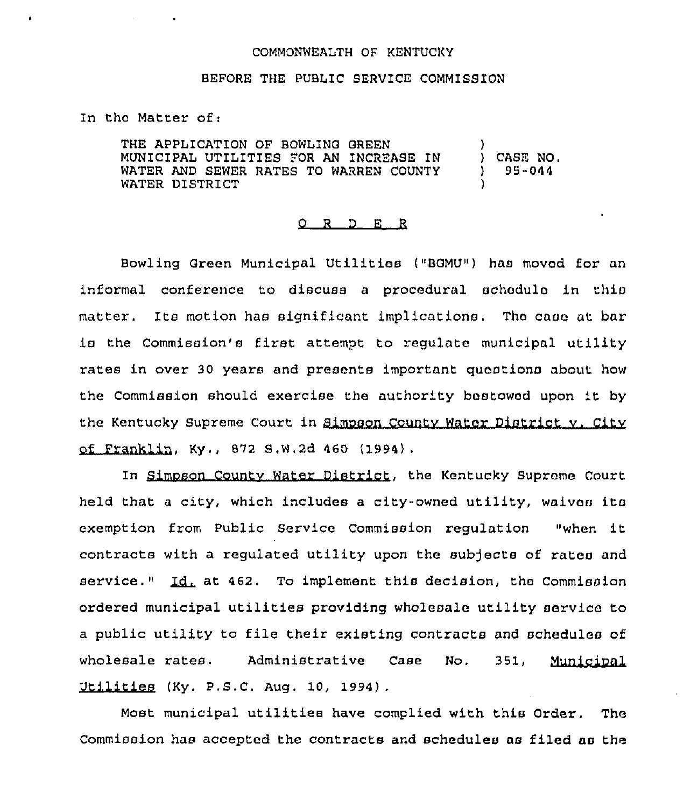## COMMONWEALTH OF KENTUCKY

## BEFORE THE PUBLIC SERVICE COMMISS1ON

In tho Matter of:

THE APPLICATION OF BOWLING GREEN MUNICIPAL UTILITIES FOR AN INCREASE IN WATER AND SEWER RATES TO WARREN COUNTY WATER DISTRICT ) ) CASE NO, 95-044 )

## 0 <sup>R</sup> <sup>D</sup> E <sup>R</sup>

Bowling Green Municipal Utilities ("BGMU") has moved for an informal conference to discuss a procedural schedulo in this matter. Its motion has significant implications. The case at bar is the Commission's first attempt to regulate municipal utility rates in over 30 years and presents important questions about how the Commission should exercise the authority bestowed upon it by the Kentucky Supreme Court in Simpson County Water District v. City of Franklin, Ky., 672 S,W,2d 460 (1994),

In Simpson County Water District, the Kentucky Supreme Court held that a city, which includes a city-owned utility, waives its exemption from Public Service Commission regulation "when it contracts with a regulated utility upon the subjects of rates and<br>service." <u>Id.</u> at 462. To implement this decision, the Commission ordered municipal utilities providing wholesale utility service to <sup>a</sup> public utility to file their existing contracts and schedules of wholesale rates. Administrative Case No. 351, Municipal Utilities (Ky. P.S.C. Aug. 10, 1994) .

Most municipal utilitiee have complied with this Order. The Commission has accepted the contracts and schedules as filed as the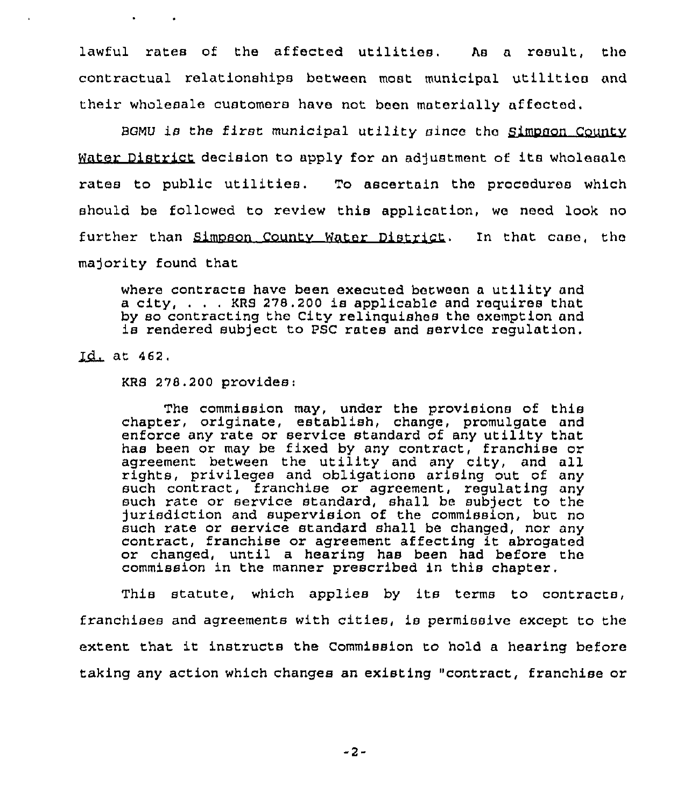lawful rates of the affected utilities. As a result, the contractual relationships between most municipal utilitias and their wholesale customers have not been materially affected.

BGMU is the first municipal utility since the Simpson County Water District decision to apply for an adjustment of its wholesale rates to public utilities. To ascertain the procedures which should be followed to review this application, we need look no further than Simpson County Water District. In that case, the majority found that

where contracts have been executed between <sup>a</sup> utility and a city, . . . KRS 278.200 is applicable and requires that<br>by so contracting the City relinguishes the exemption and is rendered subject to PSC rates and service regulation.

Id. at 462.

 $\mathbf{z}$  and  $\mathbf{z}$  and  $\mathbf{z}$ 

KRS 278.200 provides:

The commission may, under the provisions of this chapter, originate, establish, change, promulgate and enforce any rate or service standard of any utility that has been or may be fixed by any contract, franchise or agreement between the utility and any city, and all rights, privileges and obligations arising out of any such contract, franchise or agreement, regulating any such rate or service standard, shall be subject to the )urlsdlction and supervision of the commission, but no such rate or service standard shall be changed, nor any contract, franchise or agreement affecting it abrogated or changed, until a hearing has been had before the commission in the manner prescribed in this chapter.

This statute, which applies by its terms to contracts, franchises and agreements with cities, is permissive except to the extent that it instructs the Commission to hold <sup>a</sup> hearing before taking any action which changes an existing "contract, franchise or

-2-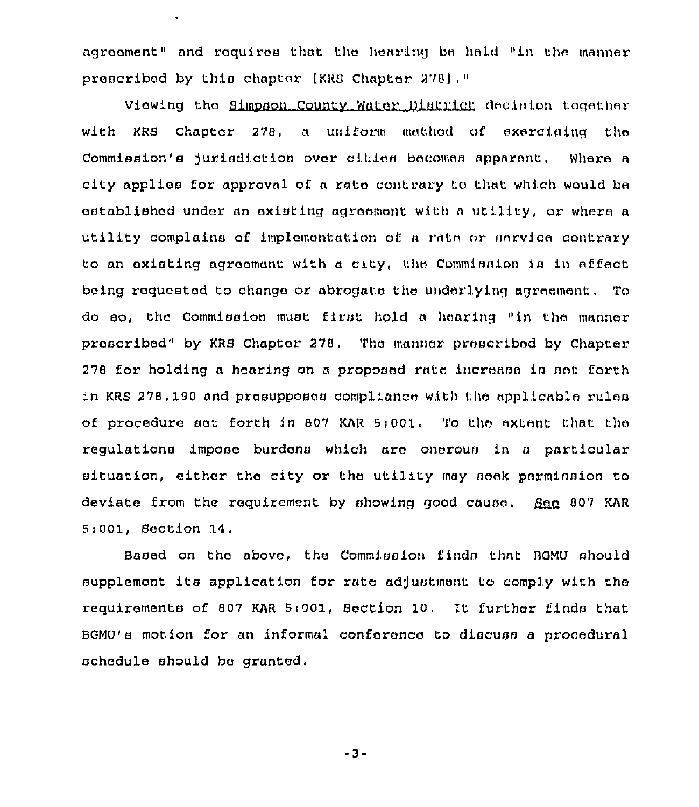agreement" and requires that the hearing be held "in the manner proscribed by this chapter [XRB Chapter 278),"

 $\bullet$ 

Viewing the Simpson County Water District decision together with KRS Chapter 278, a uniform method of exerciaing the Commission's jurisdiction over cities becomes apparent. Where a city applies for approval of a rate contrary to that which would be established under an existing agrocmant with a utility, or where a utility complains of implementation of a rate or service contrary to an existing agreement with a city, the Commission is in effect being requested to change or abrogate the underlying agreement. To do so, thc Commission must first hold <sup>a</sup> hearing "in the manner prescribed" by KRS Chapter 278. Tho manner proscribed by Chapter 278 for holding a hearing on a proposed rate increase is set forth in KRS 278.190 and prasupposes compliance with the applicable rules of procedure set forth in 807 KAR 5:001. To the extent that the regulations impose burdens which ara onerous in a particular situation, either the city or the utility may seek permission to deviate from the requirement by showing good cause.  $BnA$  807 KAR 5:001, Section 14.

Based on the above, the Commission finds that BGMU should supplement its application for rate adjustment to comply with the requirements of 807 KAR 5:001, Section 10. It further finds that BGMU's motion for an informal conference to discuss a procedural schedule should be granted.

-3-